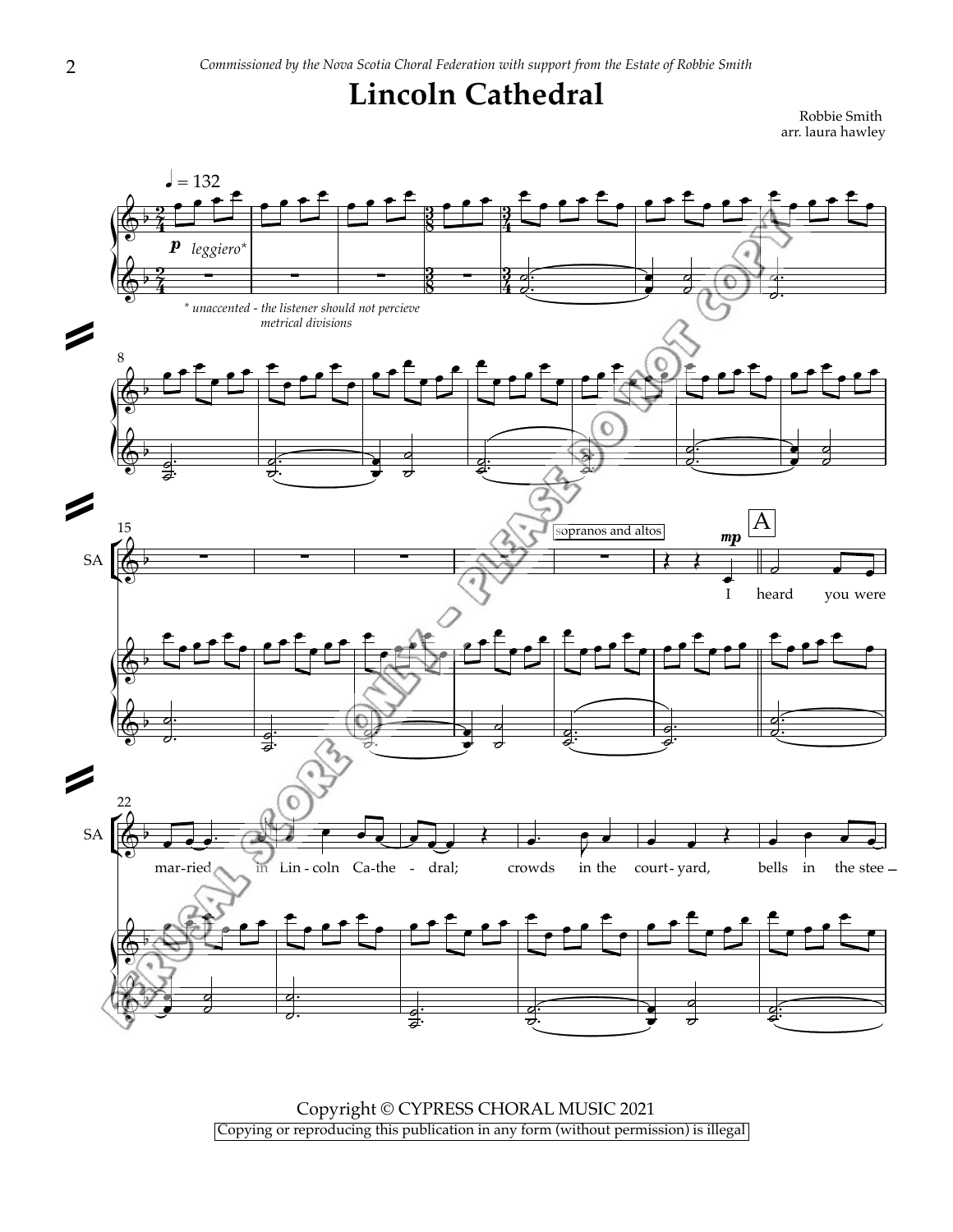## **Lincoln Cathedral**

Robbie Smith arr. laura hawley



Copyright © CYPRESS CHORAL MUSIC 2021 Copying or reproducing this publication in any form (without permission) is illegal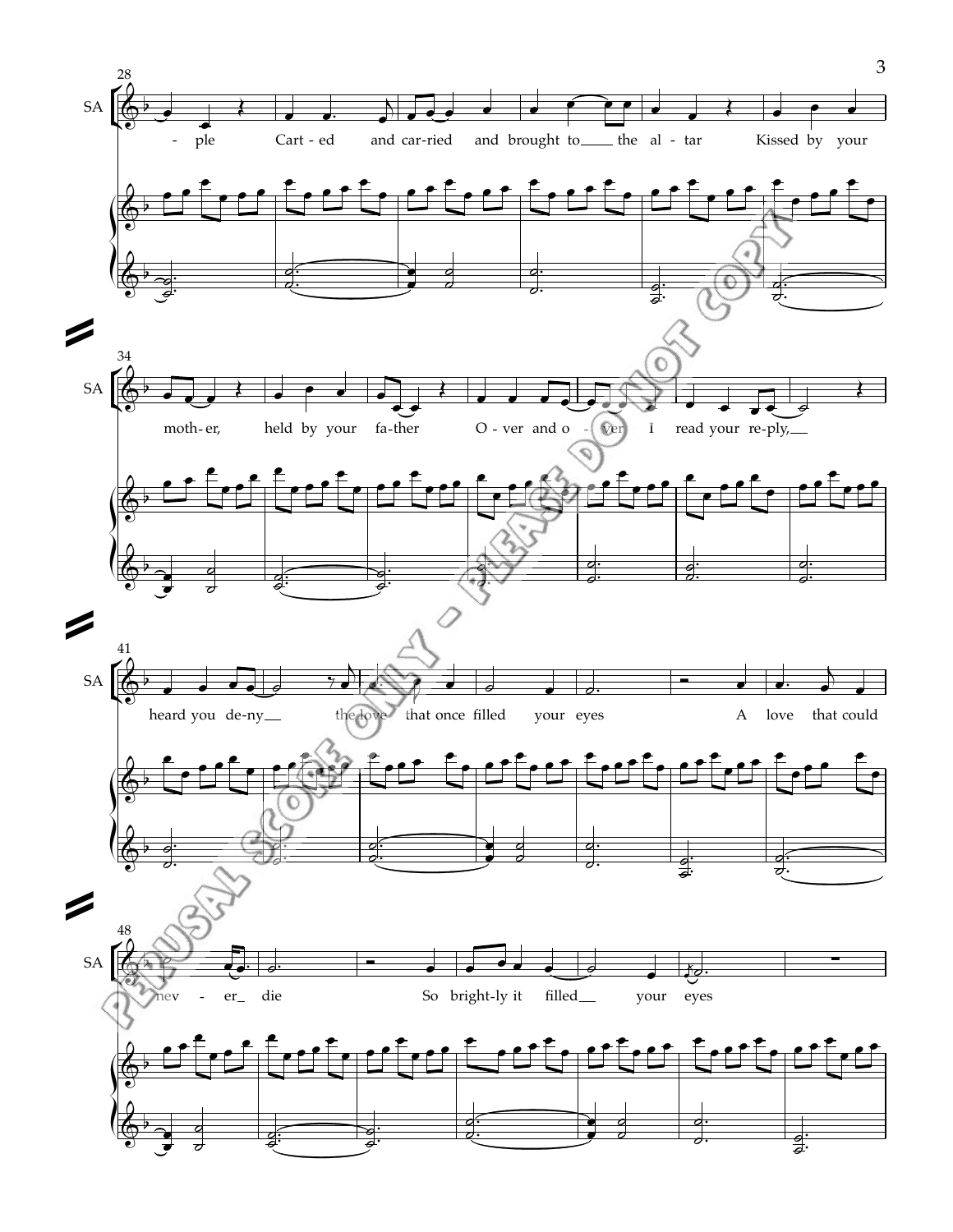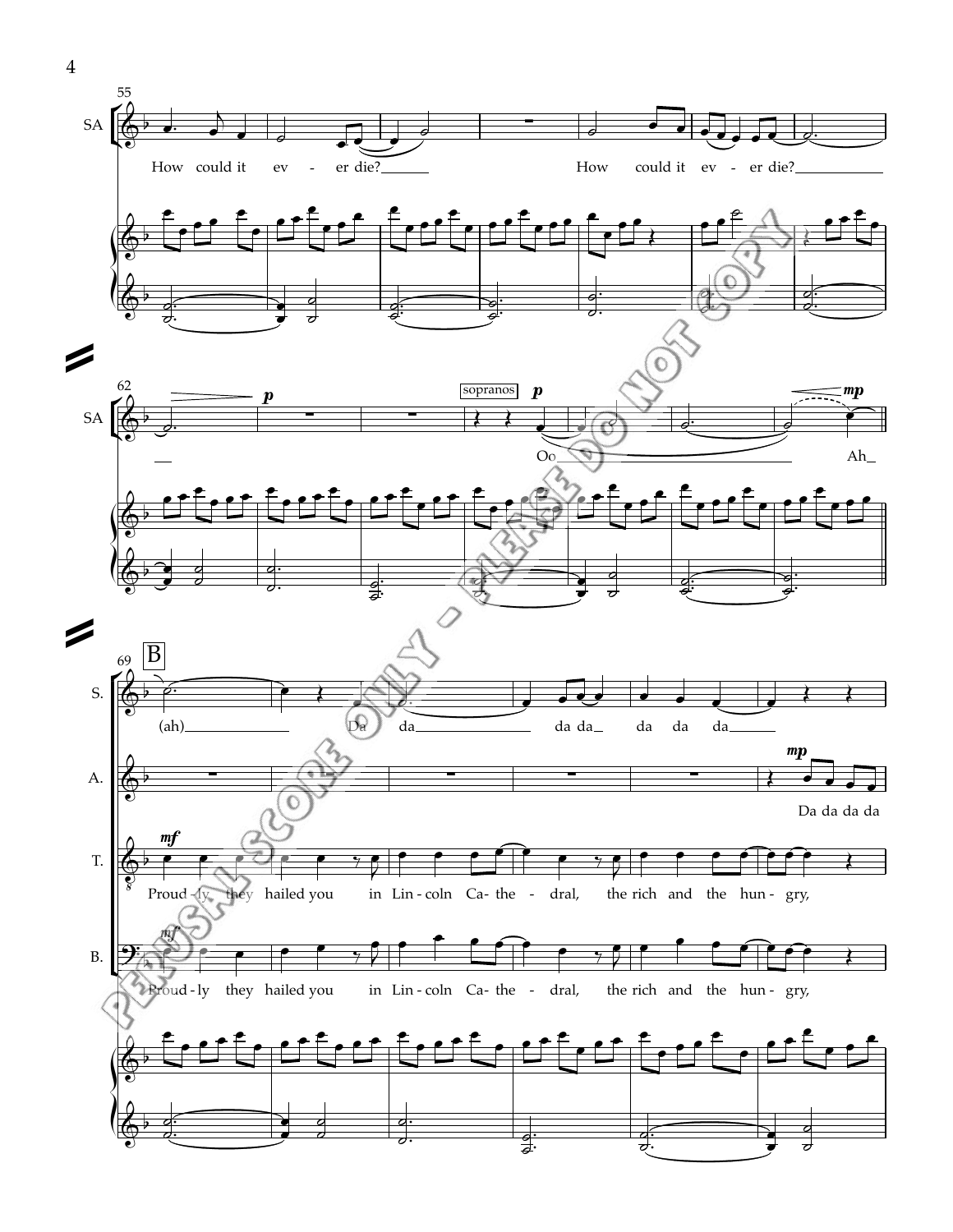

4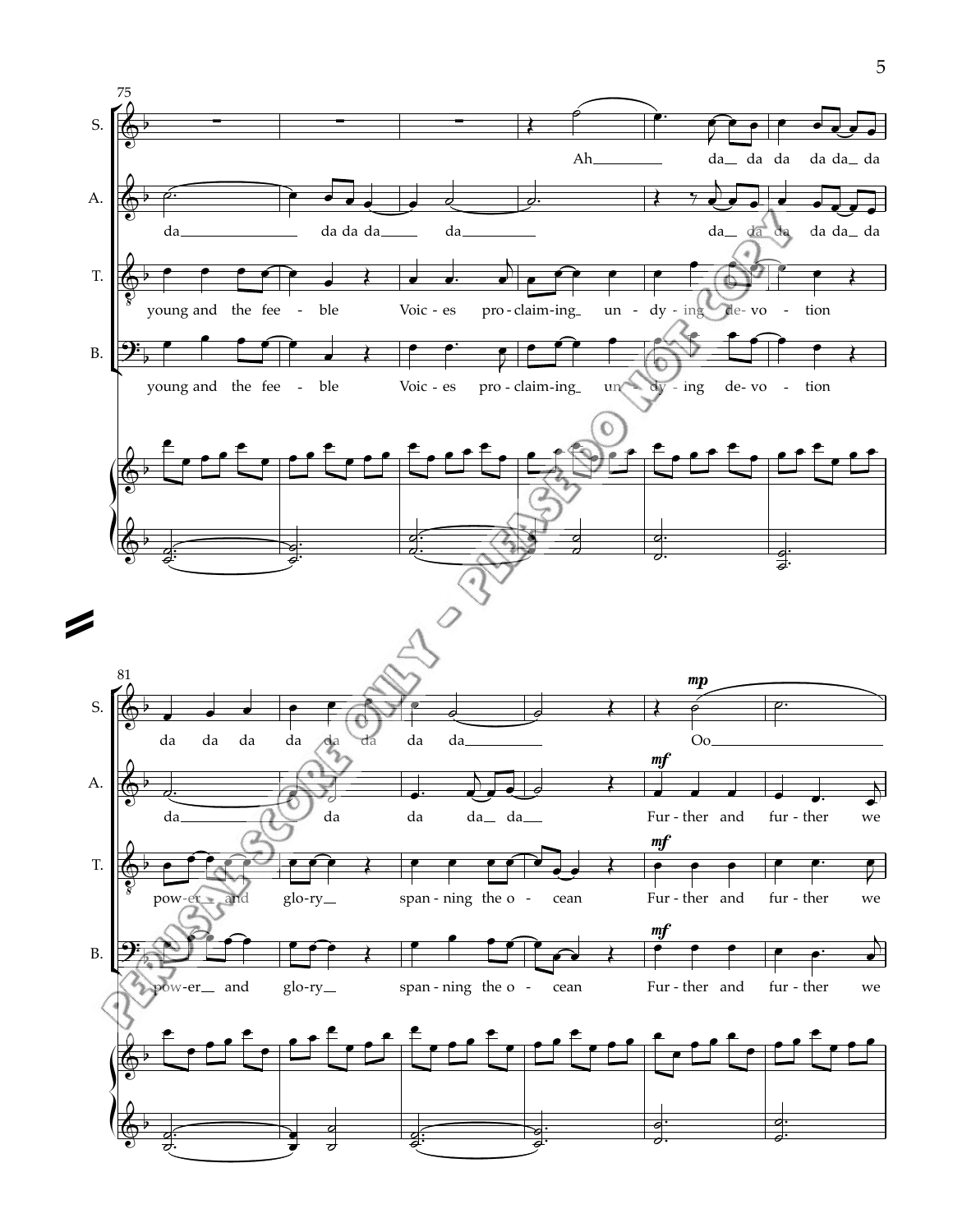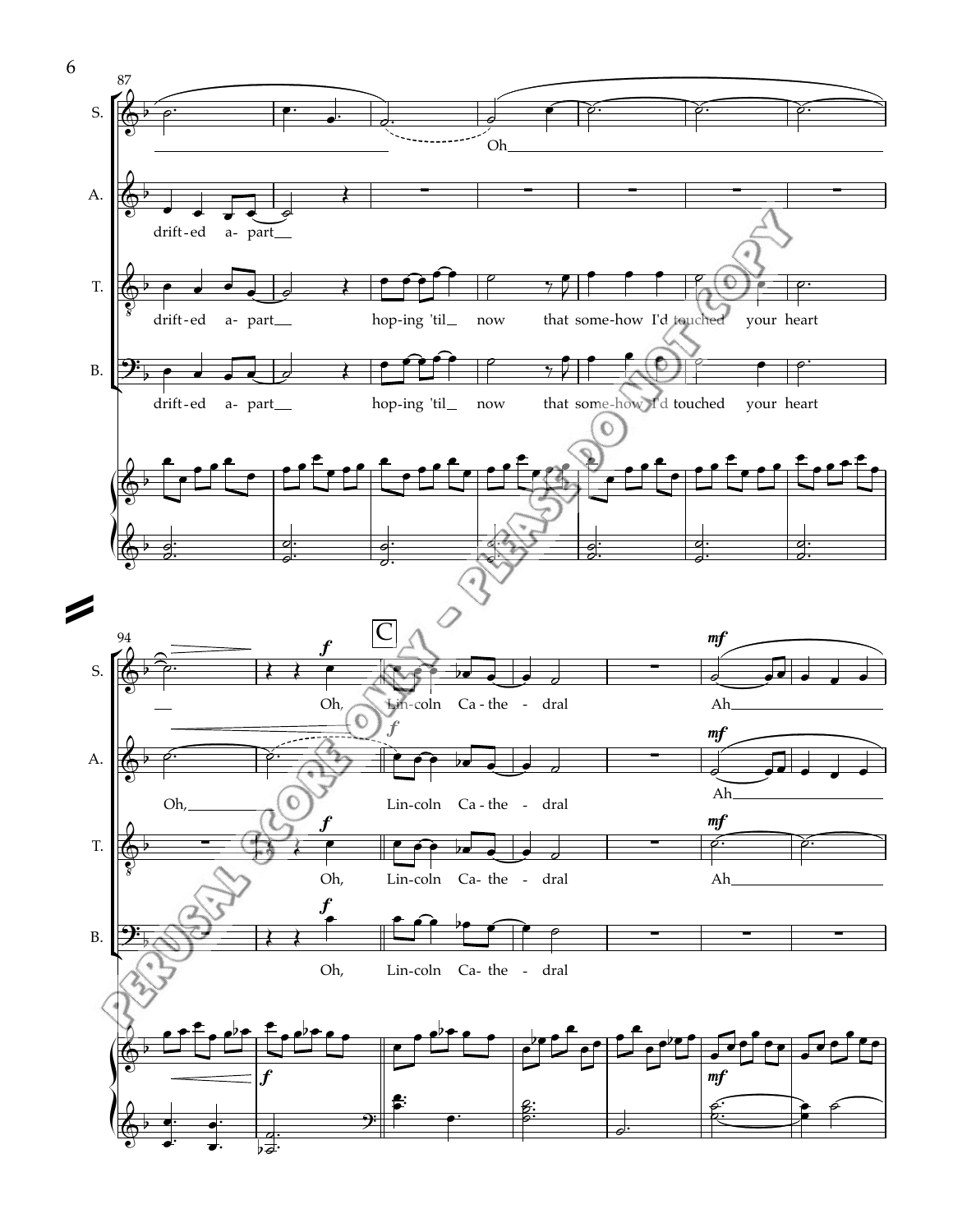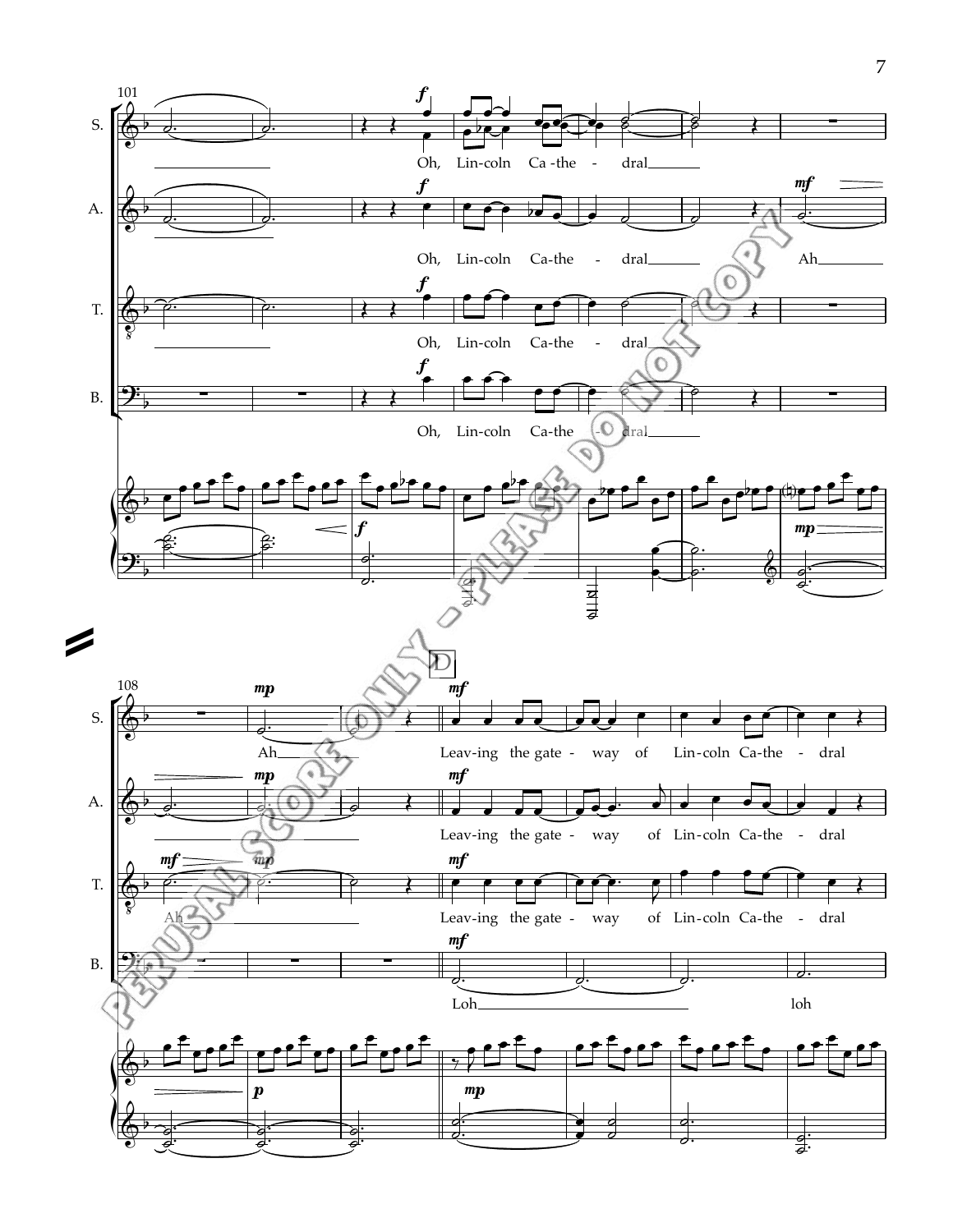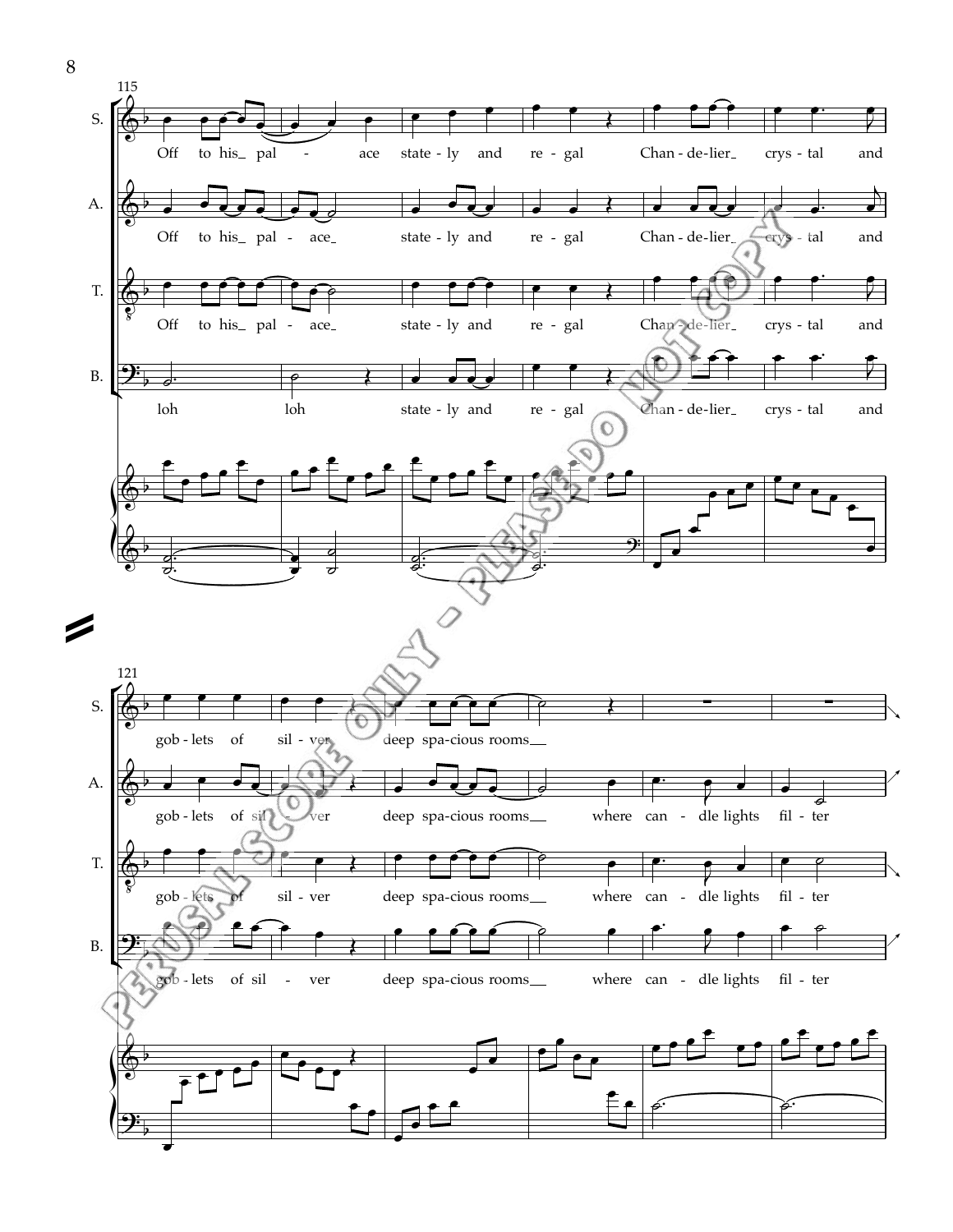

8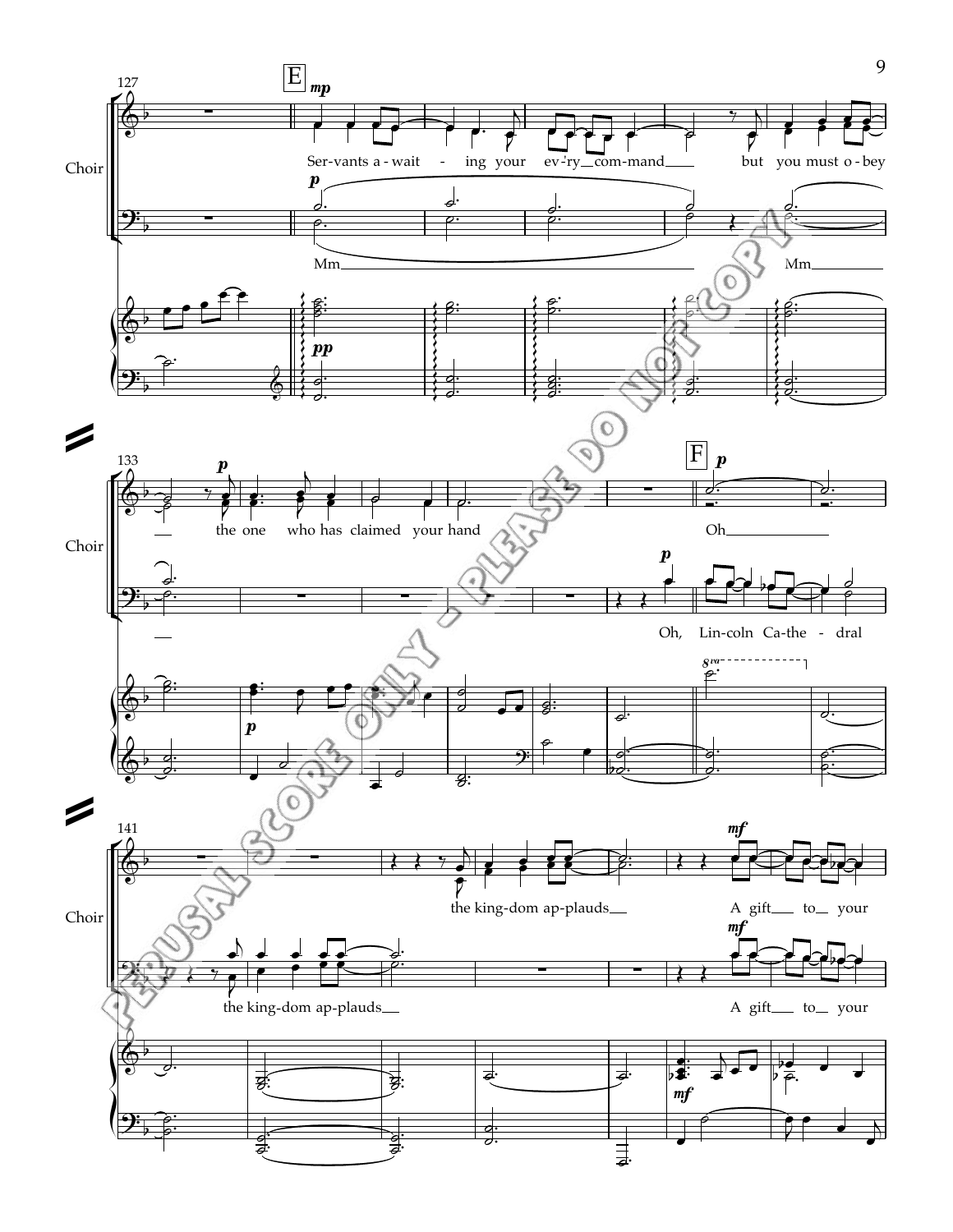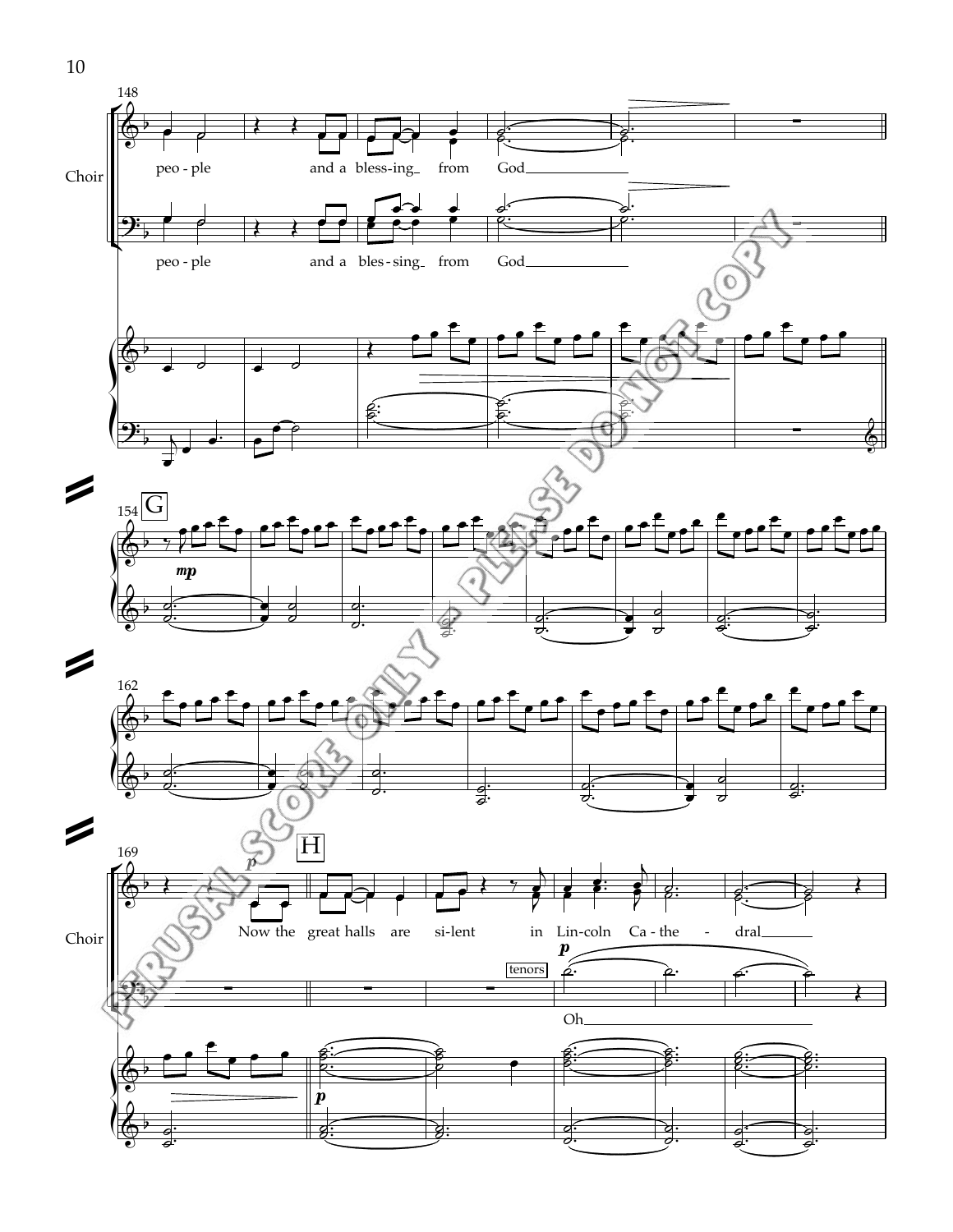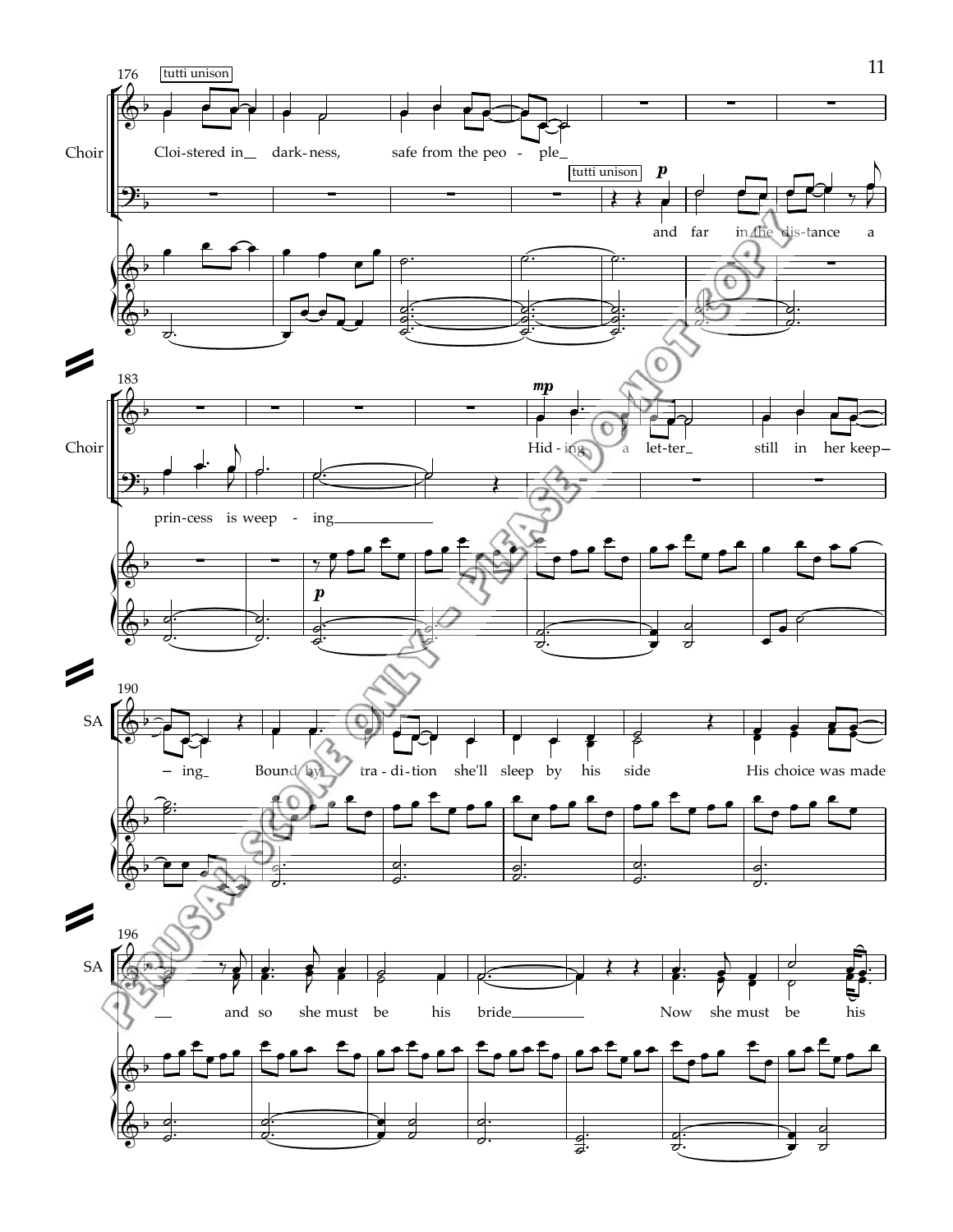